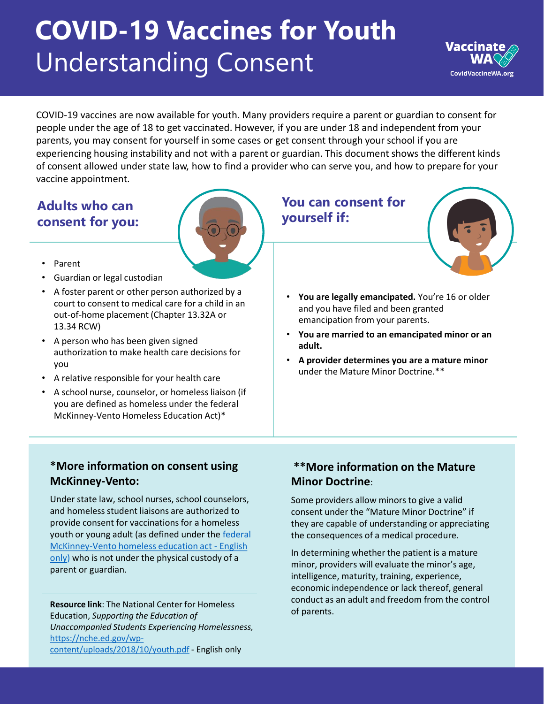# **COVID-19 Vaccines for Youth**  Understanding Consent



COVID-19 vaccines are now available for youth. Many providers require a parent or guardian to consent for people under the age of 18 to get vaccinated. However, if you are under 18 and independent from your parents, you may consent for yourself in some cases or get consent through your school if you are experiencing housing instability and not with a parent or guardian. This document shows the different kinds of consent allowed under state law, how to find a provider who can serve you, and how to prepare for your vaccine appointment.

## **Adults who can consent for you:**



- Parent
- Guardian or legal custodian
- A foster parent or other person authorized by a court to consent to medical care for a child in an out-of-home placement (Chapter 13.32A or 13.34 RCW)
- A person who has been given signed authorization to make health care decisions for you
- A relative responsible for your health care
- A school nurse, counselor, or homeless liaison (if you are defined as homeless under the federal McKinney-Vento Homeless Education Act)\*

### **You can consent for yourself if:**



- **You are legally emancipated.** You're 16 or older and you have filed and been granted emancipation from your parents.
- **You are married to an emancipated minor or an adult.**
- **A provider determines you are a mature minor**  under the Mature Minor Doctrine.\*\*

#### **\*More information on consent using McKinney-Vento:**

Under state law, school nurses, school counselors, and homeless student liaisons are authorized to provide consent for vaccinations for a homeless [youth or young adult \(as defined under the federal](https://nche.ed.gov/wp-content/uploads/2018/10/youth.pdf)  McKinney-Vento homeless education act - English only) who is not under the physical custody of a parent or guardian.

**Resource link**: The National Center for Homeless Education, *Supporting the Education of Unaccompanied Students Experiencing Homelessness,* https://nche.ed.gov/wp[content/uploads/2018/10/youth.pdf](https://nche.ed.gov/wp-content/uploads/2018/10/youth.pdf) - English only

#### **\*\*More information on the Mature Minor Doctrine**:

Some providers allow minors to give a valid consent under the "Mature Minor Doctrine" if they are capable of understanding or appreciating the consequences of a medical procedure.

In determining whether the patient is a mature minor, providers will evaluate the minor's age, intelligence, maturity, training, experience, economic independence or lack thereof, general conduct as an adult and freedom from the control of parents.